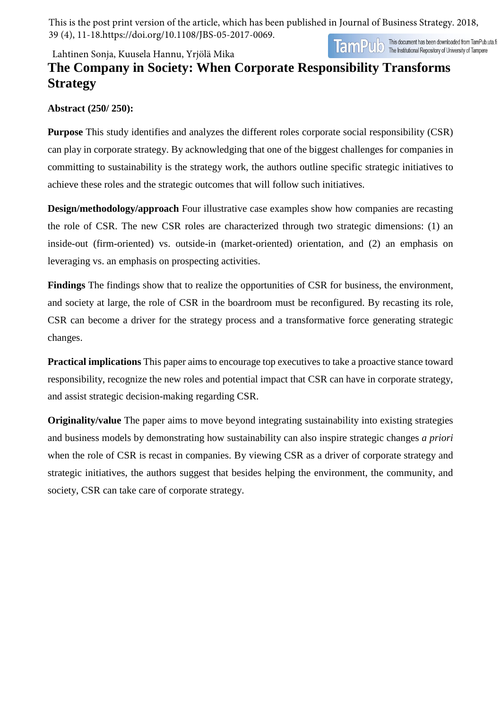This is the post print version of the article, which has been published in Journal of Business Strategy. 2018, 39 (4), 11-18.https://doi.org/10.1108/JBS-05-2017-0069.

Lahtinen Sonja, Kuusela Hannu, Yrjölä Mika

TamPUD This document has been downloaded from TamPub.uta.fi

# **The Company in Society: When Corporate Responsibility Transforms Strategy**

### **Abstract (250/ 250):**

**Purpose** This study identifies and analyzes the different roles corporate social responsibility (CSR) can play in corporate strategy. By acknowledging that one of the biggest challenges for companies in committing to sustainability is the strategy work, the authors outline specific strategic initiatives to achieve these roles and the strategic outcomes that will follow such initiatives.

**Design/methodology/approach** Four illustrative case examples show how companies are recasting the role of CSR. The new CSR roles are characterized through two strategic dimensions: (1) an inside-out (firm-oriented) vs. outside-in (market-oriented) orientation, and (2) an emphasis on leveraging vs. an emphasis on prospecting activities.

**Findings** The findings show that to realize the opportunities of CSR for business, the environment, and society at large, the role of CSR in the boardroom must be reconfigured. By recasting its role, CSR can become a driver for the strategy process and a transformative force generating strategic changes.

**Practical implications** This paper aims to encourage top executives to take a proactive stance toward responsibility, recognize the new roles and potential impact that CSR can have in corporate strategy, and assist strategic decision-making regarding CSR.

**Originality/value** The paper aims to move beyond integrating sustainability into existing strategies and business models by demonstrating how sustainability can also inspire strategic changes *a priori* when the role of CSR is recast in companies. By viewing CSR as a driver of corporate strategy and strategic initiatives, the authors suggest that besides helping the environment, the community, and society, CSR can take care of corporate strategy.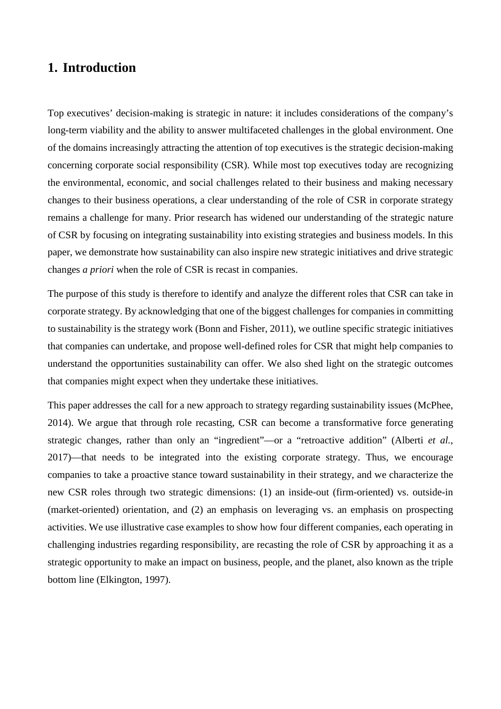### **1. Introduction**

Top executives' decision-making is strategic in nature: it includes considerations of the company's long-term viability and the ability to answer multifaceted challenges in the global environment. One of the domains increasingly attracting the attention of top executives is the strategic decision-making concerning corporate social responsibility (CSR). While most top executives today are recognizing the environmental, economic, and social challenges related to their business and making necessary changes to their business operations, a clear understanding of the role of CSR in corporate strategy remains a challenge for many. Prior research has widened our understanding of the strategic nature of CSR by focusing on integrating sustainability into existing strategies and business models. In this paper, we demonstrate how sustainability can also inspire new strategic initiatives and drive strategic changes *a priori* when the role of CSR is recast in companies.

The purpose of this study is therefore to identify and analyze the different roles that CSR can take in corporate strategy. By acknowledging that one of the biggest challenges for companies in committing to sustainability is the strategy work (Bonn and Fisher, 2011), we outline specific strategic initiatives that companies can undertake, and propose well-defined roles for CSR that might help companies to understand the opportunities sustainability can offer. We also shed light on the strategic outcomes that companies might expect when they undertake these initiatives.

This paper addresses the call for a new approach to strategy regarding sustainability issues (McPhee, 2014). We argue that through role recasting, CSR can become a transformative force generating strategic changes, rather than only an "ingredient"—or a "retroactive addition" (Alberti *et al.*, 2017)—that needs to be integrated into the existing corporate strategy. Thus, we encourage companies to take a proactive stance toward sustainability in their strategy, and we characterize the new CSR roles through two strategic dimensions: (1) an inside-out (firm-oriented) vs. outside-in (market-oriented) orientation, and (2) an emphasis on leveraging vs. an emphasis on prospecting activities. We use illustrative case examples to show how four different companies, each operating in challenging industries regarding responsibility, are recasting the role of CSR by approaching it as a strategic opportunity to make an impact on business, people, and the planet, also known as the triple bottom line (Elkington, 1997).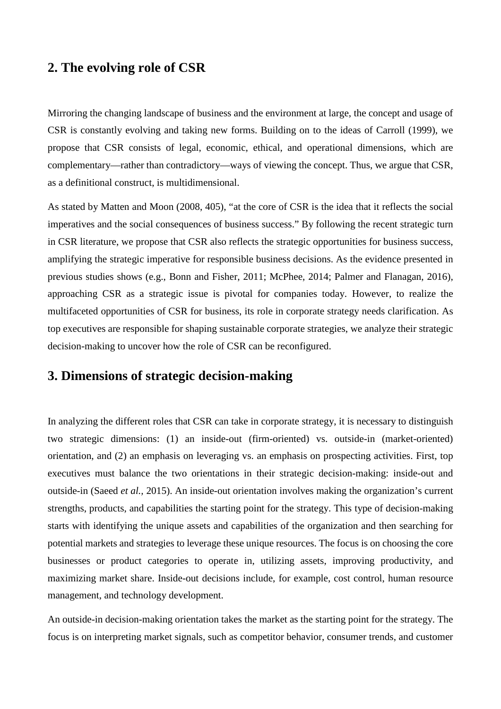### **2. The evolving role of CSR**

Mirroring the changing landscape of business and the environment at large, the concept and usage of CSR is constantly evolving and taking new forms. Building on to the ideas of Carroll (1999), we propose that CSR consists of legal, economic, ethical, and operational dimensions, which are complementary—rather than contradictory—ways of viewing the concept. Thus, we argue that CSR, as a definitional construct, is multidimensional.

As stated by Matten and Moon (2008, 405), "at the core of CSR is the idea that it reflects the social imperatives and the social consequences of business success." By following the recent strategic turn in CSR literature, we propose that CSR also reflects the strategic opportunities for business success, amplifying the strategic imperative for responsible business decisions. As the evidence presented in previous studies shows (e.g., Bonn and Fisher, 2011; McPhee, 2014; Palmer and Flanagan, 2016), approaching CSR as a strategic issue is pivotal for companies today. However, to realize the multifaceted opportunities of CSR for business, its role in corporate strategy needs clarification. As top executives are responsible for shaping sustainable corporate strategies, we analyze their strategic decision-making to uncover how the role of CSR can be reconfigured.

### **3. Dimensions of strategic decision-making**

In analyzing the different roles that CSR can take in corporate strategy, it is necessary to distinguish two strategic dimensions: (1) an inside-out (firm-oriented) vs. outside-in (market-oriented) orientation, and (2) an emphasis on leveraging vs. an emphasis on prospecting activities. First, top executives must balance the two orientations in their strategic decision-making: inside-out and outside-in (Saeed *et al.,* 2015). An inside-out orientation involves making the organization's current strengths, products, and capabilities the starting point for the strategy. This type of decision-making starts with identifying the unique assets and capabilities of the organization and then searching for potential markets and strategies to leverage these unique resources. The focus is on choosing the core businesses or product categories to operate in, utilizing assets, improving productivity, and maximizing market share. Inside-out decisions include, for example, cost control, human resource management, and technology development.

An outside-in decision-making orientation takes the market as the starting point for the strategy. The focus is on interpreting market signals, such as competitor behavior, consumer trends, and customer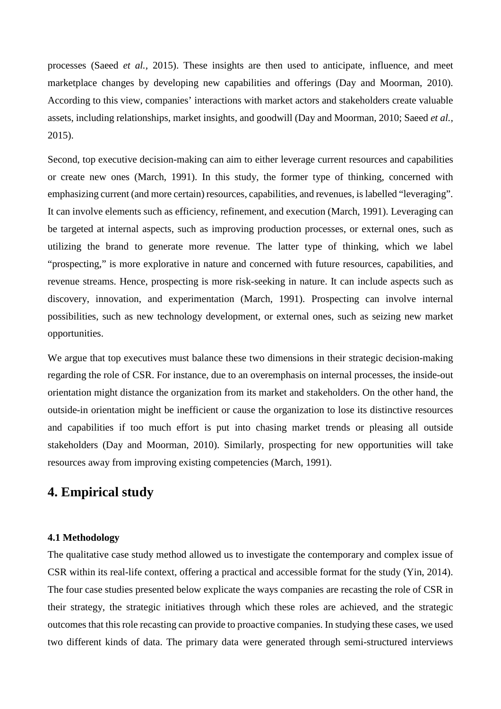processes (Saeed *et al.,* 2015). These insights are then used to anticipate, influence, and meet marketplace changes by developing new capabilities and offerings (Day and Moorman, 2010). According to this view, companies' interactions with market actors and stakeholders create valuable assets, including relationships, market insights, and goodwill (Day and Moorman, 2010; Saeed *et al.,* 2015).

Second, top executive decision-making can aim to either leverage current resources and capabilities or create new ones (March, 1991). In this study, the former type of thinking, concerned with emphasizing current (and more certain) resources, capabilities, and revenues, is labelled "leveraging". It can involve elements such as efficiency, refinement, and execution (March, 1991). Leveraging can be targeted at internal aspects, such as improving production processes, or external ones, such as utilizing the brand to generate more revenue. The latter type of thinking, which we label "prospecting," is more explorative in nature and concerned with future resources, capabilities, and revenue streams. Hence, prospecting is more risk-seeking in nature. It can include aspects such as discovery, innovation, and experimentation (March, 1991). Prospecting can involve internal possibilities, such as new technology development, or external ones, such as seizing new market opportunities.

We argue that top executives must balance these two dimensions in their strategic decision-making regarding the role of CSR. For instance, due to an overemphasis on internal processes, the inside-out orientation might distance the organization from its market and stakeholders. On the other hand, the outside-in orientation might be inefficient or cause the organization to lose its distinctive resources and capabilities if too much effort is put into chasing market trends or pleasing all outside stakeholders (Day and Moorman, 2010). Similarly, prospecting for new opportunities will take resources away from improving existing competencies (March, 1991).

### **4. Empirical study**

#### **4.1 Methodology**

The qualitative case study method allowed us to investigate the contemporary and complex issue of CSR within its real-life context, offering a practical and accessible format for the study (Yin, 2014). The four case studies presented below explicate the ways companies are recasting the role of CSR in their strategy, the strategic initiatives through which these roles are achieved, and the strategic outcomes that this role recasting can provide to proactive companies. In studying these cases, we used two different kinds of data. The primary data were generated through semi-structured interviews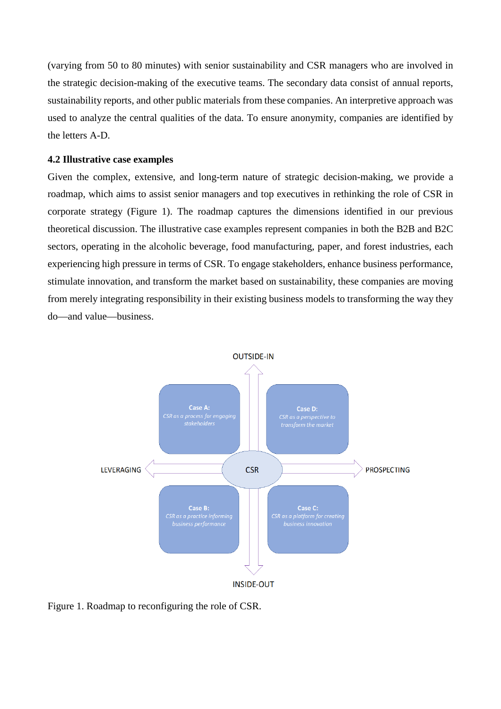(varying from 50 to 80 minutes) with senior sustainability and CSR managers who are involved in the strategic decision-making of the executive teams. The secondary data consist of annual reports, sustainability reports, and other public materials from these companies. An interpretive approach was used to analyze the central qualities of the data. To ensure anonymity, companies are identified by the letters A-D.

#### **4.2 Illustrative case examples**

Given the complex, extensive, and long-term nature of strategic decision-making, we provide a roadmap, which aims to assist senior managers and top executives in rethinking the role of CSR in corporate strategy (Figure 1). The roadmap captures the dimensions identified in our previous theoretical discussion. The illustrative case examples represent companies in both the B2B and B2C sectors, operating in the alcoholic beverage, food manufacturing, paper, and forest industries, each experiencing high pressure in terms of CSR. To engage stakeholders, enhance business performance, stimulate innovation, and transform the market based on sustainability, these companies are moving from merely integrating responsibility in their existing business models to transforming the way they do—and value—business.



Figure 1. Roadmap to reconfiguring the role of CSR.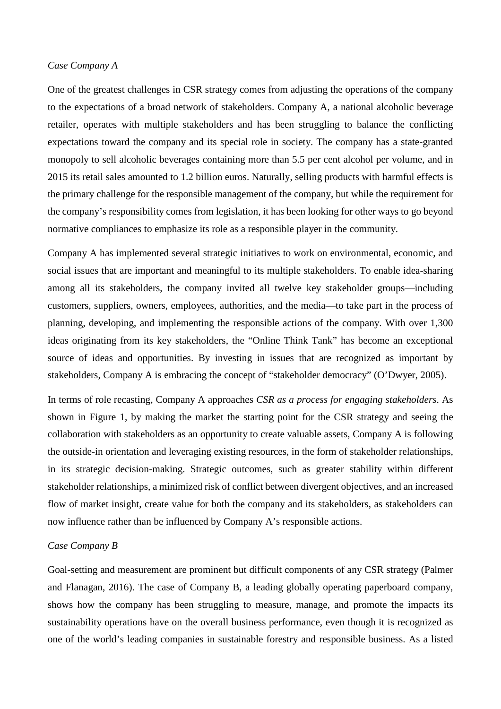#### *Case Company A*

One of the greatest challenges in CSR strategy comes from adjusting the operations of the company to the expectations of a broad network of stakeholders. Company A, a national alcoholic beverage retailer, operates with multiple stakeholders and has been struggling to balance the conflicting expectations toward the company and its special role in society. The company has a state-granted monopoly to sell alcoholic beverages containing more than 5.5 per cent alcohol per volume, and in 2015 its retail sales amounted to 1.2 billion euros. Naturally, selling products with harmful effects is the primary challenge for the responsible management of the company, but while the requirement for the company's responsibility comes from legislation, it has been looking for other ways to go beyond normative compliances to emphasize its role as a responsible player in the community.

Company A has implemented several strategic initiatives to work on environmental, economic, and social issues that are important and meaningful to its multiple stakeholders. To enable idea-sharing among all its stakeholders, the company invited all twelve key stakeholder groups—including customers, suppliers, owners, employees, authorities, and the media—to take part in the process of planning, developing, and implementing the responsible actions of the company. With over 1,300 ideas originating from its key stakeholders, the "Online Think Tank" has become an exceptional source of ideas and opportunities. By investing in issues that are recognized as important by stakeholders, Company A is embracing the concept of "stakeholder democracy" (O'Dwyer, 2005).

In terms of role recasting, Company A approaches *CSR as a process for engaging stakeholders*. As shown in Figure 1, by making the market the starting point for the CSR strategy and seeing the collaboration with stakeholders as an opportunity to create valuable assets, Company A is following the outside-in orientation and leveraging existing resources, in the form of stakeholder relationships, in its strategic decision-making. Strategic outcomes, such as greater stability within different stakeholder relationships, a minimized risk of conflict between divergent objectives, and an increased flow of market insight, create value for both the company and its stakeholders, as stakeholders can now influence rather than be influenced by Company A's responsible actions.

#### *Case Company B*

Goal-setting and measurement are prominent but difficult components of any CSR strategy (Palmer and Flanagan, 2016). The case of Company B, a leading globally operating paperboard company, shows how the company has been struggling to measure, manage, and promote the impacts its sustainability operations have on the overall business performance, even though it is recognized as one of the world's leading companies in sustainable forestry and responsible business. As a listed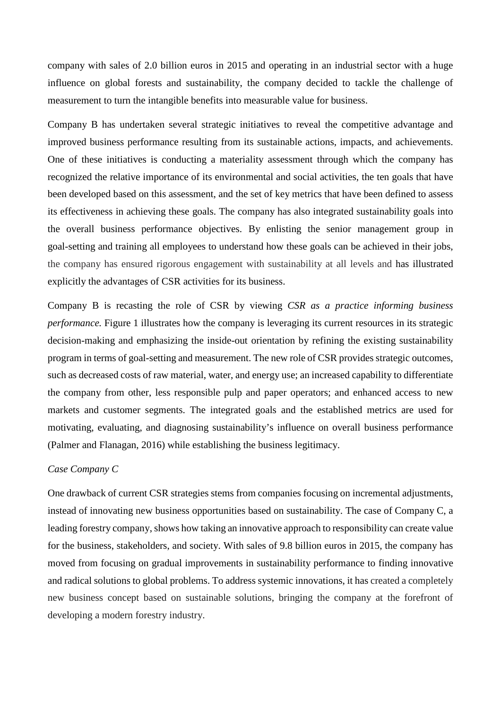company with sales of 2.0 billion euros in 2015 and operating in an industrial sector with a huge influence on global forests and sustainability, the company decided to tackle the challenge of measurement to turn the intangible benefits into measurable value for business.

Company B has undertaken several strategic initiatives to reveal the competitive advantage and improved business performance resulting from its sustainable actions, impacts, and achievements. One of these initiatives is conducting a materiality assessment through which the company has recognized the relative importance of its environmental and social activities, the ten goals that have been developed based on this assessment, and the set of key metrics that have been defined to assess its effectiveness in achieving these goals. The company has also integrated sustainability goals into the overall business performance objectives. By enlisting the senior management group in goal-setting and training all employees to understand how these goals can be achieved in their jobs, the company has ensured rigorous engagement with sustainability at all levels and has illustrated explicitly the advantages of CSR activities for its business.

Company B is recasting the role of CSR by viewing *CSR as a practice informing business performance*. Figure 1 illustrates how the company is leveraging its current resources in its strategic decision-making and emphasizing the inside-out orientation by refining the existing sustainability program in terms of goal-setting and measurement. The new role of CSR provides strategic outcomes, such as decreased costs of raw material, water, and energy use; an increased capability to differentiate the company from other, less responsible pulp and paper operators; and enhanced access to new markets and customer segments. The integrated goals and the established metrics are used for motivating, evaluating, and diagnosing sustainability's influence on overall business performance (Palmer and Flanagan, 2016) while establishing the business legitimacy.

#### *Case Company C*

One drawback of current CSR strategies stems from companies focusing on incremental adjustments, instead of innovating new business opportunities based on sustainability. The case of Company C, a leading forestry company, shows how taking an innovative approach to responsibility can create value for the business, stakeholders, and society. With sales of 9.8 billion euros in 2015, the company has moved from focusing on gradual improvements in sustainability performance to finding innovative and radical solutions to global problems. To address systemic innovations, it has created a completely new business concept based on sustainable solutions, bringing the company at the forefront of developing a modern forestry industry.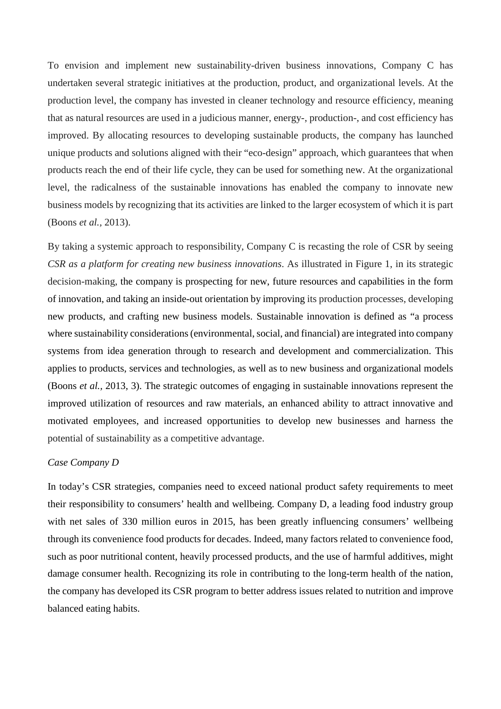To envision and implement new sustainability-driven business innovations, Company C has undertaken several strategic initiatives at the production, product, and organizational levels. At the production level, the company has invested in cleaner technology and resource efficiency, meaning that as natural resources are used in a judicious manner, energy-, production-, and cost efficiency has improved. By allocating resources to developing sustainable products, the company has launched unique products and solutions aligned with their "eco-design" approach, which guarantees that when products reach the end of their life cycle, they can be used for something new. At the organizational level, the radicalness of the sustainable innovations has enabled the company to innovate new business models by recognizing that its activities are linked to the larger ecosystem of which it is part (Boons *et al.,* 2013).

By taking a systemic approach to responsibility, Company C is recasting the role of CSR by seeing *CSR as a platform for creating new business innovations*. As illustrated in Figure 1, in its strategic decision-making, the company is prospecting for new, future resources and capabilities in the form of innovation, and taking an inside-out orientation by improving its production processes, developing new products, and crafting new business models. Sustainable innovation is defined as "a process where sustainability considerations (environmental, social, and financial) are integrated into company systems from idea generation through to research and development and commercialization. This applies to products, services and technologies, as well as to new business and organizational models (Boons *et al.,* 2013, 3). The strategic outcomes of engaging in sustainable innovations represent the improved utilization of resources and raw materials, an enhanced ability to attract innovative and motivated employees, and increased opportunities to develop new businesses and harness the potential of sustainability as a competitive advantage.

#### *Case Company D*

In today's CSR strategies, companies need to exceed national product safety requirements to meet their responsibility to consumers' health and wellbeing. Company D, a leading food industry group with net sales of 330 million euros in 2015, has been greatly influencing consumers' wellbeing through its convenience food products for decades. Indeed, many factors related to convenience food, such as poor nutritional content, heavily processed products, and the use of harmful additives, might damage consumer health. Recognizing its role in contributing to the long-term health of the nation, the company has developed its CSR program to better address issues related to nutrition and improve balanced eating habits.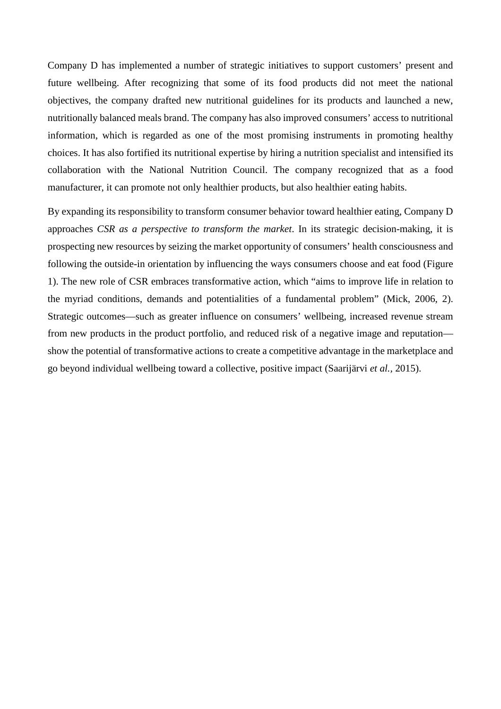Company D has implemented a number of strategic initiatives to support customers' present and future wellbeing. After recognizing that some of its food products did not meet the national objectives, the company drafted new nutritional guidelines for its products and launched a new, nutritionally balanced meals brand. The company has also improved consumers' access to nutritional information, which is regarded as one of the most promising instruments in promoting healthy choices. It has also fortified its nutritional expertise by hiring a nutrition specialist and intensified its collaboration with the National Nutrition Council. The company recognized that as a food manufacturer, it can promote not only healthier products, but also healthier eating habits.

By expanding its responsibility to transform consumer behavior toward healthier eating, Company D approaches *CSR as a perspective to transform the market*. In its strategic decision-making, it is prospecting new resources by seizing the market opportunity of consumers' health consciousness and following the outside-in orientation by influencing the ways consumers choose and eat food (Figure 1). The new role of CSR embraces transformative action, which "aims to improve life in relation to the myriad conditions, demands and potentialities of a fundamental problem" (Mick, 2006, 2). Strategic outcomes—such as greater influence on consumers' wellbeing, increased revenue stream from new products in the product portfolio, and reduced risk of a negative image and reputation show the potential of transformative actions to create a competitive advantage in the marketplace and go beyond individual wellbeing toward a collective, positive impact (Saarijärvi *et al.,* 2015).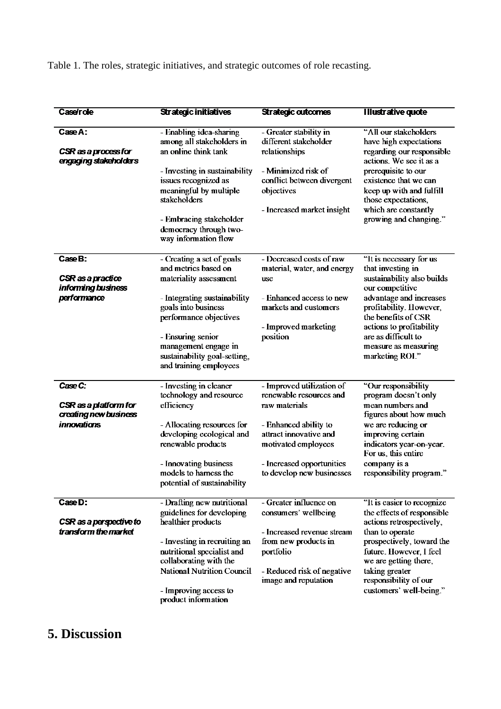Table 1. The roles, strategic initiatives, and strategic outcomes of role recasting.

| <b>Case/role</b>                                | <b>Strategic initiatives</b>                                                                        | <b>Strategic outcomes</b>                                                                     | <b>Illustrative quote</b>                                                                                               |
|-------------------------------------------------|-----------------------------------------------------------------------------------------------------|-----------------------------------------------------------------------------------------------|-------------------------------------------------------------------------------------------------------------------------|
|                                                 |                                                                                                     |                                                                                               |                                                                                                                         |
| Case A:                                         | - Enabling idea-sharing<br>among all stakeholders in                                                | - Greater stability in<br>different stakeholder                                               | "All our stakeholders<br>have high expectations                                                                         |
| CSR as a process for<br>engaging stakeholders   | an online think tank                                                                                | relationships                                                                                 | regarding our responsible<br>actions. We see it as a                                                                    |
|                                                 | - Investing in sustainability<br>issues recognized as<br>meaningful by multiple<br>stakeholders     | - Minimized risk of<br>conflict between divergent<br>objectives<br>- Increased market insight | prerequisite to our<br>existence that we can<br>keep up with and fulfill<br>those expectations,<br>which are constantly |
|                                                 | - Embracing stakeholder<br>democracy through two-<br>way information flow                           |                                                                                               | growing and changing."                                                                                                  |
| Case B:                                         | - Creating a set of goals<br>and metrics based on                                                   | - Decreased costs of raw<br>material, water, and energy                                       | "It is necessary for us<br>that investing in                                                                            |
| CSR as a practice<br>informing business         | materiality assessment                                                                              | use                                                                                           | sustainability also builds<br>our competitive                                                                           |
| performance                                     | - Integrating sustainability<br>goals into business                                                 | - Enhanced access to new<br>markets and customers                                             | advantage and increases<br>profitability. However,                                                                      |
|                                                 | performance objectives                                                                              | - Improved marketing                                                                          | the benefits of CSR<br>actions to profitability                                                                         |
|                                                 | - Ensuring senior<br>management engage in<br>sustainability goal-setting,<br>and training employees | position                                                                                      | are as difficult to<br>measure as measuring<br>marketing ROL"                                                           |
| Case C:                                         | - Investing in cleaner<br>technology and resource                                                   | - Improved utilization of<br>renewable resources and                                          | "Our responsibility<br>program doesn't only                                                                             |
| CSR as a platform for<br>creating new business  | efficiency                                                                                          | raw materials                                                                                 | mean numbers and<br>figures about how much                                                                              |
| innovations                                     | - Allocating resources for<br>developing ecological and<br>renewable products                       | - Enhanced ability to<br>attract innovative and<br>motivated employees                        | we are reducing or<br>improving certain<br>indicators year-on-year.                                                     |
|                                                 |                                                                                                     |                                                                                               | For us, this entire                                                                                                     |
|                                                 | - Innovating business<br>models to harness the<br>potential of sustainability                       | - Increased opportunities<br>to develop new businesses                                        | company is a<br>responsibility program."                                                                                |
| Case D:                                         | - Drafting new nutritional                                                                          | - Greater influence on                                                                        | "It is easier to recognize                                                                                              |
| CSR as a perspective to<br>fransform the market | guidelines for developing<br>healthier products                                                     | consumers' wellbeing<br>- Increased revenue stream                                            | the effects of responsible<br>actions retrospectively,<br>than to operate                                               |
|                                                 | - Investing in recruiting an<br>nutritional specialist and<br>collaborating with the                | from new products in<br>portfolio                                                             | prospectively, toward the<br>future. However, I feel<br>we are getting there,                                           |
|                                                 | <b>National Nutrition Council</b>                                                                   | - Reduced risk of negative<br>image and reputation                                            | taking greater<br>responsibility of our                                                                                 |
|                                                 | - Improving access to<br>product information                                                        |                                                                                               | customers' well-being."                                                                                                 |

# **5. Discussion**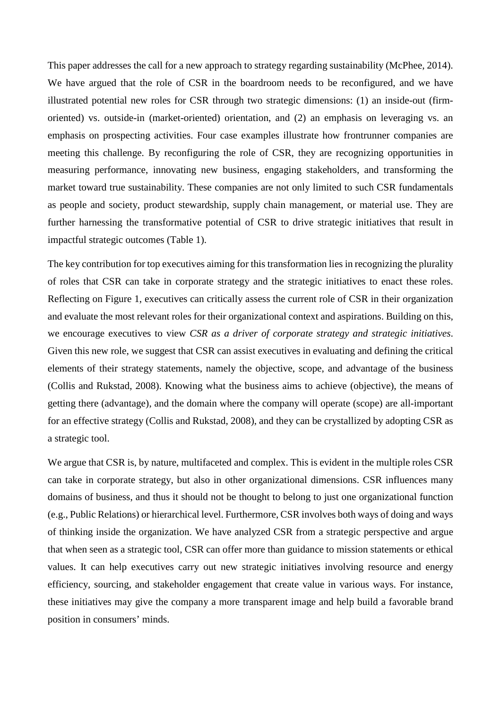This paper addresses the call for a new approach to strategy regarding sustainability (McPhee, 2014). We have argued that the role of CSR in the boardroom needs to be reconfigured, and we have illustrated potential new roles for CSR through two strategic dimensions: (1) an inside-out (firmoriented) vs. outside-in (market-oriented) orientation, and (2) an emphasis on leveraging vs. an emphasis on prospecting activities. Four case examples illustrate how frontrunner companies are meeting this challenge. By reconfiguring the role of CSR, they are recognizing opportunities in measuring performance, innovating new business, engaging stakeholders, and transforming the market toward true sustainability. These companies are not only limited to such CSR fundamentals as people and society, product stewardship, supply chain management, or material use. They are further harnessing the transformative potential of CSR to drive strategic initiatives that result in impactful strategic outcomes (Table 1).

The key contribution for top executives aiming for this transformation lies in recognizing the plurality of roles that CSR can take in corporate strategy and the strategic initiatives to enact these roles. Reflecting on Figure 1, executives can critically assess the current role of CSR in their organization and evaluate the most relevant roles for their organizational context and aspirations. Building on this, we encourage executives to view *CSR as a driver of corporate strategy and strategic initiatives*. Given this new role, we suggest that CSR can assist executives in evaluating and defining the critical elements of their strategy statements, namely the objective, scope, and advantage of the business (Collis and Rukstad, 2008). Knowing what the business aims to achieve (objective), the means of getting there (advantage), and the domain where the company will operate (scope) are all-important for an effective strategy (Collis and Rukstad, 2008), and they can be crystallized by adopting CSR as a strategic tool.

We argue that CSR is, by nature, multifaceted and complex. This is evident in the multiple roles CSR can take in corporate strategy, but also in other organizational dimensions. CSR influences many domains of business, and thus it should not be thought to belong to just one organizational function (e.g., Public Relations) or hierarchical level. Furthermore, CSR involves both ways of doing and ways of thinking inside the organization. We have analyzed CSR from a strategic perspective and argue that when seen as a strategic tool, CSR can offer more than guidance to mission statements or ethical values. It can help executives carry out new strategic initiatives involving resource and energy efficiency, sourcing, and stakeholder engagement that create value in various ways. For instance, these initiatives may give the company a more transparent image and help build a favorable brand position in consumers' minds.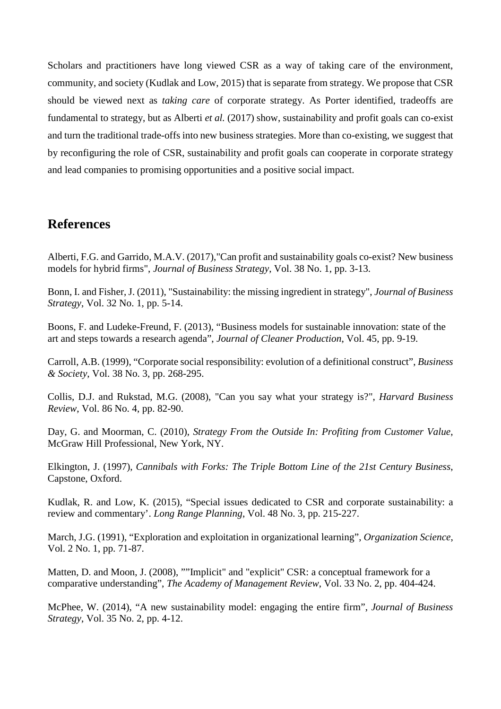Scholars and practitioners have long viewed CSR as a way of taking care of the environment, community, and society (Kudlak and Low, 2015) that is separate from strategy. We propose that CSR should be viewed next as *taking care* of corporate strategy. As Porter identified, tradeoffs are fundamental to strategy, but as Alberti *et al.* (2017) show, sustainability and profit goals can co-exist and turn the traditional trade-offs into new business strategies. More than co-existing, we suggest that by reconfiguring the role of CSR, sustainability and profit goals can cooperate in corporate strategy and lead companies to promising opportunities and a positive social impact.

## **References**

Alberti, F.G. and Garrido, M.A.V. (2017),"Can profit and sustainability goals co-exist? New business models for hybrid firms", *Journal of Business Strategy*, Vol. 38 No. 1, pp. 3-13.

Bonn, I. and Fisher, J. (2011), "Sustainability: the missing ingredient in strategy", *Journal of Business Strategy*, Vol. 32 No. 1, pp. 5-14.

Boons, F. and Ludeke-Freund, F. (2013), "Business models for sustainable innovation: state of the art and steps towards a research agenda", *Journal of Cleaner Production*, Vol. 45, pp. 9-19.

Carroll, A.B. (1999), "Corporate social responsibility: evolution of a definitional construct", *Business & Society*, Vol. 38 No. 3, pp. 268-295.

Collis, D.J. and Rukstad, M.G. (2008), "Can you say what your strategy is?", *Harvard Business Review*, Vol. 86 No. 4, pp. 82-90.

Day, G. and Moorman, C. (2010), *Strategy From the Outside In: Profiting from Customer Value*, McGraw Hill Professional, New York, NY.

Elkington, J. (1997), *Cannibals with Forks: The Triple Bottom Line of the 21st Century Business*, Capstone, Oxford.

Kudlak, R. and Low, K. (2015), "Special issues dedicated to CSR and corporate sustainability: a review and commentary'. *Long Range Planning*, Vol. 48 No. 3, pp. 215-227.

March, J.G. (1991), "Exploration and exploitation in organizational learning", *Organization Science*, Vol. 2 No. 1, pp. 71-87.

Matten, D. and Moon, J. (2008), ""Implicit" and "explicit" CSR: a conceptual framework for a comparative understanding", *The Academy of Management Review*, Vol. 33 No. 2, pp. 404-424.

McPhee, W. (2014), "A new sustainability model: engaging the entire firm", *Journal of Business Strategy*, Vol. 35 No. 2, pp. 4-12.